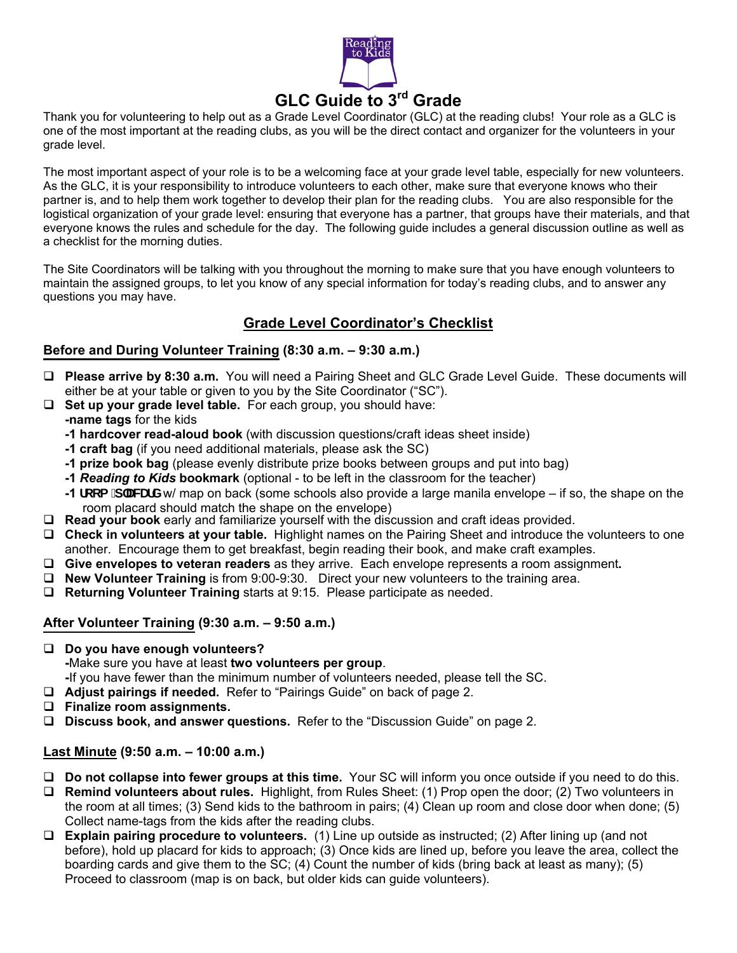

Thank you for volunteering to help out as a Grade Level Coordinator (GLC) at the reading clubs! Your role as a GLC is one of the most important at the reading clubs, as you will be the direct contact and organizer for the volunteers in your grade level.

The most important aspect of your role is to be a welcoming face at your grade level table, especially for new volunteers. As the GLC, it is your responsibility to introduce volunteers to each other, make sure that everyone knows who their partner is, and to help them work together to develop their plan for the reading clubs. You are also responsible for the logistical organization of your grade level: ensuring that everyone has a partner, that groups have their materials, and that everyone knows the rules and schedule for the day. The following guide includes a general discussion outline as well as a checklist for the morning duties.

The Site Coordinators will be talking with you throughout the morning to make sure that you have enough volunteers to maintain the assigned groups, to let you know of any special information for today's reading clubs, and to answer any questions you may have.

# **Grade Level Coordinator's Checklist**

### **Before and During Volunteer Training (8:30 a.m. – 9:30 a.m.)**

- **Please arrive by 8:30 a.m.** You will need a Pairing Sheet and GLC Grade Level Guide. These documents will either be at your table or given to you by the Site Coordinator ("SC").
- **Set up your grade level table.** For each group, you should have: **-name tags** for the kids
	- **-1 hardcover read-aloud book** (with discussion questions/craft ideas sheet inside)
	- **-1 craft bag** (if you need additional materials, please ask the SC)
	- **-1 prize book bag** (please evenly distribute prize books between groups and put into bag)
	- **-1** *Reading to Kids* **bookmark** (optional to be left in the classroom for the teacher)
	- **-1 <b>fcca d'UNUFX** w/ map on back (some schools also provide a large manila envelope if so, the shape on the room placard should match the shape on the envelope)
- **Read your book** early and familiarize yourself with the discussion and craft ideas provided.
- **Check in volunteers at your table.** Highlight names on the Pairing Sheet and introduce the volunteers to one another. Encourage them to get breakfast, begin reading their book, and make craft examples.
- **Give envelopes to veteran readers** as they arrive. Each envelope represents a room assignment**.**
- **New Volunteer Training** is from 9:00-9:30. Direct your new volunteers to the training area.
- **Returning Volunteer Training** starts at 9:15. Please participate as needed.

### **After Volunteer Training (9:30 a.m. – 9:50 a.m.)**

- **Do you have enough volunteers? -**Make sure you have at least **two volunteers per group**. **-**If you have fewer than the minimum number of volunteers needed, please tell the SC.
- **Adjust pairings if needed.** Refer to "Pairings Guide" on back of page 2.
- **Finalize room assignments.**
- **Discuss book, and answer questions.** Refer to the "Discussion Guide" on page 2.

### **Last Minute (9:50 a.m. – 10:00 a.m.)**

- **Do not collapse into fewer groups at this time.** Your SC will inform you once outside if you need to do this.
- **Remind volunteers about rules.** Highlight, from Rules Sheet: (1) Prop open the door; (2) Two volunteers in the room at all times; (3) Send kids to the bathroom in pairs; (4) Clean up room and close door when done; (5) Collect name-tags from the kids after the reading clubs.
- **Explain pairing procedure to volunteers.** (1) Line up outside as instructed; (2) After lining up (and not before), hold up placard for kids to approach; (3) Once kids are lined up, before you leave the area, collect the boarding cards and give them to the SC; (4) Count the number of kids (bring back at least as many); (5) Proceed to classroom (map is on back, but older kids can guide volunteers).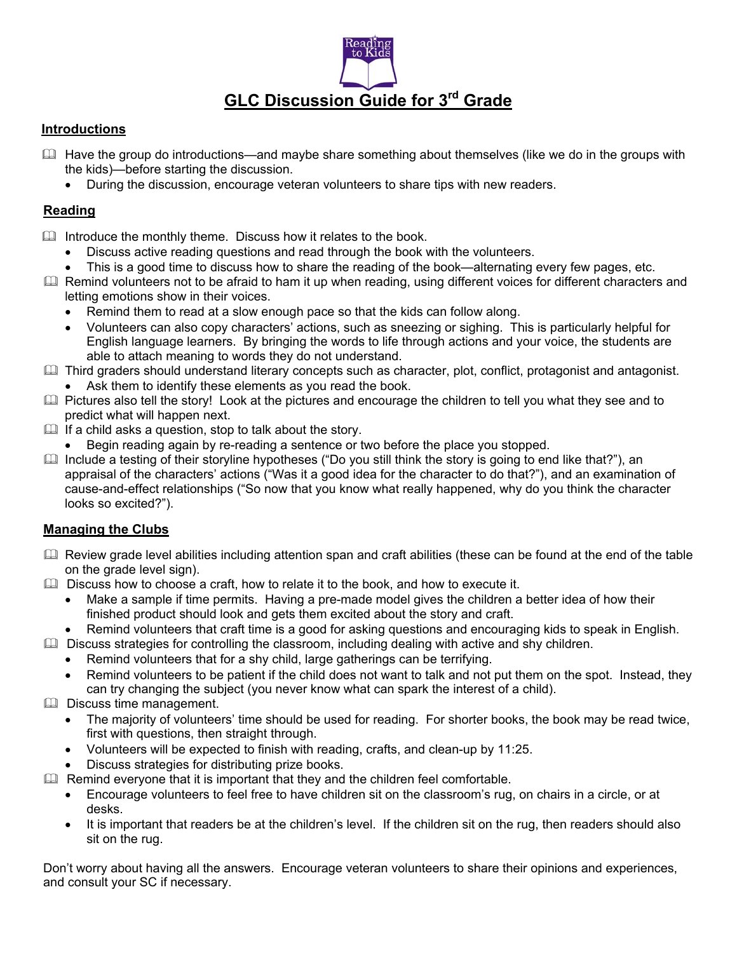

# **GLC Discussion Guide for 3rd Grade**

### **Introductions**

- $\Box$  Have the group do introductions—and maybe share something about themselves (like we do in the groups with the kids)—before starting the discussion.
	- During the discussion, encourage veteran volunteers to share tips with new readers.

## **Reading**

 $\Box$  Introduce the monthly theme. Discuss how it relates to the book.

- Discuss active reading questions and read through the book with the volunteers.
- This is a good time to discuss how to share the reading of the book—alternating every few pages, etc.
- **Remind volunteers not to be afraid to ham it up when reading, using different voices for different characters and** letting emotions show in their voices.
	- Remind them to read at a slow enough pace so that the kids can follow along.
	- Volunteers can also copy characters' actions, such as sneezing or sighing. This is particularly helpful for English language learners. By bringing the words to life through actions and your voice, the students are able to attach meaning to words they do not understand.
- **E** Third graders should understand literary concepts such as character, plot, conflict, protagonist and antagonist.
	- Ask them to identify these elements as you read the book.
- $\Box$  Pictures also tell the story! Look at the pictures and encourage the children to tell you what they see and to predict what will happen next.
- $\mathbb{I}$  If a child asks a question, stop to talk about the story.
	- Begin reading again by re-reading a sentence or two before the place you stopped.
- Include a testing of their storyline hypotheses ("Do you still think the story is going to end like that?"), an appraisal of the characters' actions ("Was it a good idea for the character to do that?"), and an examination of cause-and-effect relationships ("So now that you know what really happened, why do you think the character looks so excited?").

### **Managing the Clubs**

- **E** Review grade level abilities including attention span and craft abilities (these can be found at the end of the table on the grade level sign).
- $\Box$  Discuss how to choose a craft, how to relate it to the book, and how to execute it.
	- Make a sample if time permits. Having a pre-made model gives the children a better idea of how their finished product should look and gets them excited about the story and craft.
	- Remind volunteers that craft time is a good for asking questions and encouraging kids to speak in English.
- $\Box$  Discuss strategies for controlling the classroom, including dealing with active and shy children.
	- Remind volunteers that for a shy child, large gatherings can be terrifying.
	- Remind volunteers to be patient if the child does not want to talk and not put them on the spot. Instead, they can try changing the subject (you never know what can spark the interest of a child).
- **Q** Discuss time management.
	- The majority of volunteers' time should be used for reading. For shorter books, the book may be read twice, first with questions, then straight through.
	- Volunteers will be expected to finish with reading, crafts, and clean-up by 11:25.
	- Discuss strategies for distributing prize books.
- $\Box$  Remind everyone that it is important that they and the children feel comfortable.
	- Encourage volunteers to feel free to have children sit on the classroom's rug, on chairs in a circle, or at desks.
	- It is important that readers be at the children's level. If the children sit on the rug, then readers should also sit on the rug.

Don't worry about having all the answers. Encourage veteran volunteers to share their opinions and experiences, and consult your SC if necessary.